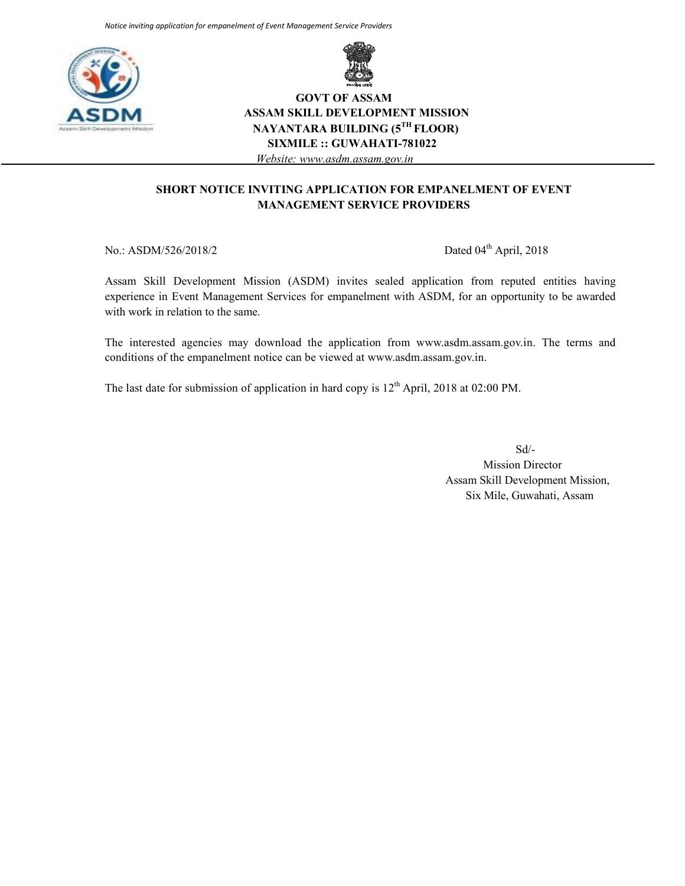



# **GOVT OF ASSAM ASSAM SKILL DEVELOPMENT MISSION NAYANTARA BUILDING (5TH FLOOR) SIXMILE :: GUWAHATI-781022**  *Website: www.asdm.assam.gov.in*

#### **SHORT NOTICE INVITING APPLICATION FOR EMPANELMENT OF EVENT MANAGEMENT SERVICE PROVIDERS**

No.: ASDM/526/2018/2 Dated 04<sup>th</sup> April, 2018

Assam Skill Development Mission (ASDM) invites sealed application from reputed entities having experience in Event Management Services for empanelment with ASDM, for an opportunity to be awarded with work in relation to the same.

The interested agencies may download the application from www.asdm.assam.gov.in. The terms and conditions of the empanelment notice can be viewed at www.asdm.assam.gov.in.

The last date for submission of application in hard copy is  $12<sup>th</sup>$  April, 2018 at 02:00 PM.

Sd/- Mission Director Assam Skill Development Mission, Six Mile, Guwahati, Assam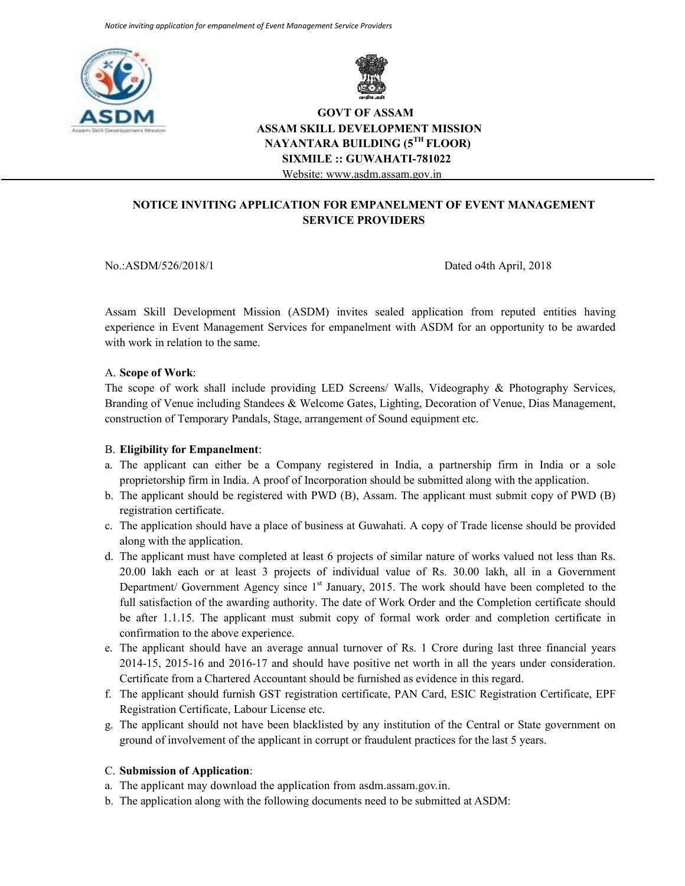



# **GOVT OF ASSAM ASSAM SKILL DEVELOPMENT MISSION NAYANTARA BUILDING (5TH FLOOR) SIXMILE :: GUWAHATI-781022**  Website: www.asdm.assam.gov.in

**NOTICE INVITING APPLICATION FOR EMPANELMENT OF EVENT MANAGEMENT SERVICE PROVIDERS** 

No.:ASDM/526/2018/1 Dated o4th April, 2018

Assam Skill Development Mission (ASDM) invites sealed application from reputed entities having experience in Event Management Services for empanelment with ASDM for an opportunity to be awarded with work in relation to the same.

#### A. **Scope of Work**:

The scope of work shall include providing LED Screens/ Walls, Videography & Photography Services, Branding of Venue including Standees & Welcome Gates, Lighting, Decoration of Venue, Dias Management, construction of Temporary Pandals, Stage, arrangement of Sound equipment etc.

#### B. **Eligibility for Empanelment**:

- a. The applicant can either be a Company registered in India, a partnership firm in India or a sole proprietorship firm in India. A proof of Incorporation should be submitted along with the application.
- b. The applicant should be registered with PWD (B), Assam. The applicant must submit copy of PWD (B) registration certificate.
- c. The application should have a place of business at Guwahati. A copy of Trade license should be provided along with the application.
- d. The applicant must have completed at least 6 projects of similar nature of works valued not less than Rs. 20.00 lakh each or at least 3 projects of individual value of Rs. 30.00 lakh, all in a Government Department/ Government Agency since  $1<sup>st</sup>$  January, 2015. The work should have been completed to the full satisfaction of the awarding authority. The date of Work Order and the Completion certificate should be after 1.1.15. The applicant must submit copy of formal work order and completion certificate in confirmation to the above experience.
- e. The applicant should have an average annual turnover of Rs. 1 Crore during last three financial years 2014-15, 2015-16 and 2016-17 and should have positive net worth in all the years under consideration. Certificate from a Chartered Accountant should be furnished as evidence in this regard.
- f. The applicant should furnish GST registration certificate, PAN Card, ESIC Registration Certificate, EPF Registration Certificate, Labour License etc.
- g. The applicant should not have been blacklisted by any institution of the Central or State government on ground of involvement of the applicant in corrupt or fraudulent practices for the last 5 years.

#### C. **Submission of Application**:

- a. The applicant may download the application from asdm.assam.gov.in.
- b. The application along with the following documents need to be submitted at ASDM: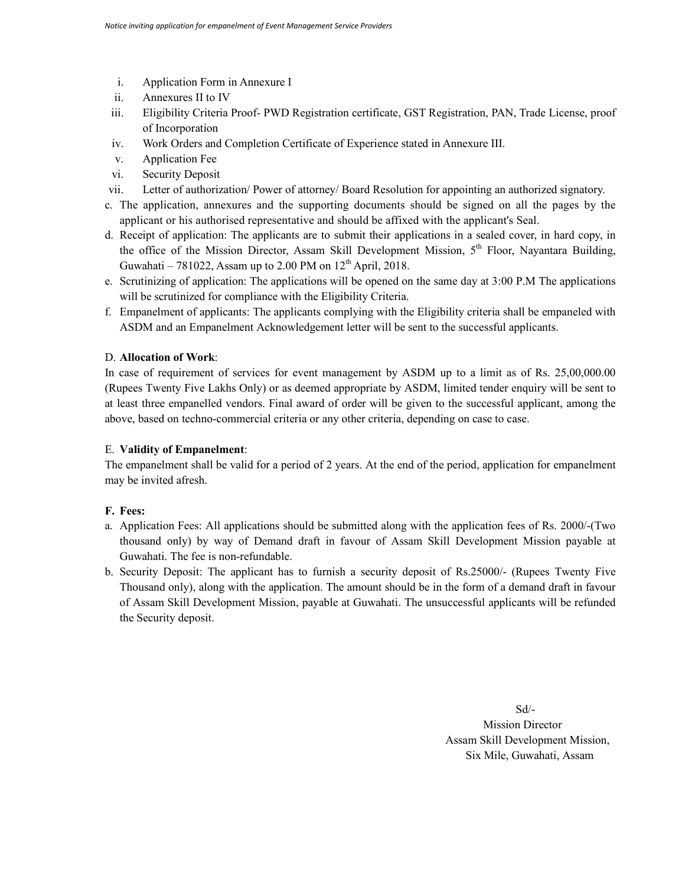- i. Application Form in Annexure I
- ii. Annexures II to IV
- iii. Eligibility Criteria Proof- PWD Registration certificate, GST Registration, PAN, Trade License, proof of Incorporation
- iv. Work Orders and Completion Certificate of Experience stated in Annexure III.
- v. Application Fee
- vi. Security Deposit
- vii. Letter of authorization/ Power of attorney/ Board Resolution for appointing an authorized signatory.
- c. The application, annexures and the supporting documents should be signed on all the pages by the applicant or his authorised representative and should be affixed with the applicant's Seal.
- d. Receipt of application: The applicants are to submit their applications in a sealed cover, in hard copy, in the office of the Mission Director, Assam Skill Development Mission, 5<sup>th</sup> Floor, Nayantara Building, Guwahati – 781022, Assam up to 2.00 PM on  $12<sup>th</sup>$  April, 2018.
- e. Scrutinizing of application: The applications will be opened on the same day at 3:00 P.M The applications will be scrutinized for compliance with the Eligibility Criteria.
- f. Empanelment of applicants: The applicants complying with the Eligibility criteria shall be empaneled with ASDM and an Empanelment Acknowledgement letter will be sent to the successful applicants.

#### D. **Allocation of Work**:

In case of requirement of services for event management by ASDM up to a limit as of Rs. 25,00,000.00 (Rupees Twenty Five Lakhs Only) or as deemed appropriate by ASDM, limited tender enquiry will be sent to at least three empanelled vendors. Final award of order will be given to the successful applicant, among the above, based on techno-commercial criteria or any other criteria, depending on case to case.

#### E. **Validity of Empanelment**:

The empanelment shall be valid for a period of 2 years. At the end of the period, application for empanelment may be invited afresh.

#### **F. Fees:**

- a. Application Fees: All applications should be submitted along with the application fees of Rs. 2000/-(Two thousand only) by way of Demand draft in favour of Assam Skill Development Mission payable at Guwahati. The fee is non-refundable.
- b. Security Deposit: The applicant has to furnish a security deposit of Rs.25000/- (Rupees Twenty Five Thousand only), along with the application. The amount should be in the form of a demand draft in favour of Assam Skill Development Mission, payable at Guwahati. The unsuccessful applicants will be refunded the Security deposit.

Sd/- Mission Director Assam Skill Development Mission, Six Mile, Guwahati, Assam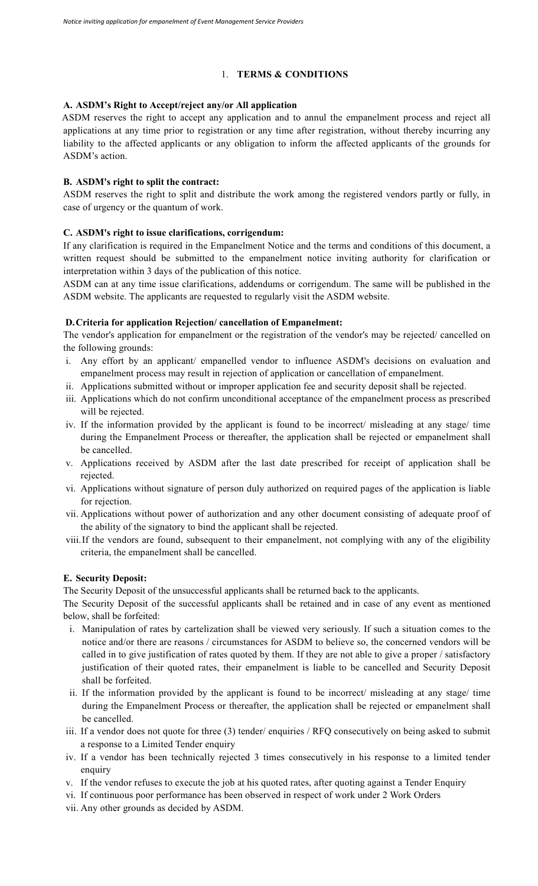## 1. **TERMS & CONDITIONS**

# **A. ASDM's Right to Accept/reject any/or All application**

ASDM reserves the right to accept any application and to annul the empanelment process and reject all applications at any time prior to registration or any time after registration, without thereby incurring any liability to the affected applicants or any obligation to inform the affected applicants of the grounds for ASDM's action.

#### **B. ASDM's right to split the contract:**

 ASDM reserves the right to split and distribute the work among the registered vendors partly or fully, in case of urgency or the quantum of work.

#### **C. ASDM's right to issue clarifications, corrigendum:**

 If any clarification is required in the Empanelment Notice and the terms and conditions of this document, a written request should be submitted to the empanelment notice inviting authority for clarification or interpretation within 3 days of the publication of this notice.

 ASDM can at any time issue clarifications, addendums or corrigendum. The same will be published in the ASDM website. The applicants are requested to regularly visit the ASDM website.

#### **D.Criteria for application Rejection/ cancellation of Empanelment:**

 The vendor's application for empanelment or the registration of the vendor's may be rejected/ cancelled on the following grounds:

- i. Any effort by an applicant/ empanelled vendor to influence ASDM's decisions on evaluation and empanelment process may result in rejection of application or cancellation of empanelment.
- ii. Applications submitted without or improper application fee and security deposit shall be rejected.
- iii. Applications which do not confirm unconditional acceptance of the empanelment process as prescribed will be rejected.
- iv. If the information provided by the applicant is found to be incorrect/ misleading at any stage/ time during the Empanelment Process or thereafter, the application shall be rejected or empanelment shall be cancelled.
- v. Applications received by ASDM after the last date prescribed for receipt of application shall be rejected.
- vi. Applications without signature of person duly authorized on required pages of the application is liable for rejection.
- vii. Applications without power of authorization and any other document consisting of adequate proof of the ability of the signatory to bind the applicant shall be rejected.
- viii.If the vendors are found, subsequent to their empanelment, not complying with any of the eligibility criteria, the empanelment shall be cancelled.

#### **E. Security Deposit:**

The Security Deposit of the unsuccessful applicants shall be returned back to the applicants.

The Security Deposit of the successful applicants shall be retained and in case of any event as mentioned below, shall be forfeited:

- i. Manipulation of rates by cartelization shall be viewed very seriously. If such a situation comes to the notice and/or there are reasons / circumstances for ASDM to believe so, the concerned vendors will be called in to give justification of rates quoted by them. If they are not able to give a proper / satisfactory justification of their quoted rates, their empanelment is liable to be cancelled and Security Deposit shall be forfeited.
- ii. If the information provided by the applicant is found to be incorrect/ misleading at any stage/ time during the Empanelment Process or thereafter, the application shall be rejected or empanelment shall be cancelled.
- iii. If a vendor does not quote for three (3) tender/ enquiries / RFQ consecutively on being asked to submit a response to a Limited Tender enquiry
- iv. If a vendor has been technically rejected 3 times consecutively in his response to a limited tender enquiry
- v. If the vendor refuses to execute the job at his quoted rates, after quoting against a Tender Enquiry
- vi. If continuous poor performance has been observed in respect of work under 2 Work Orders
- vii. Any other grounds as decided by ASDM.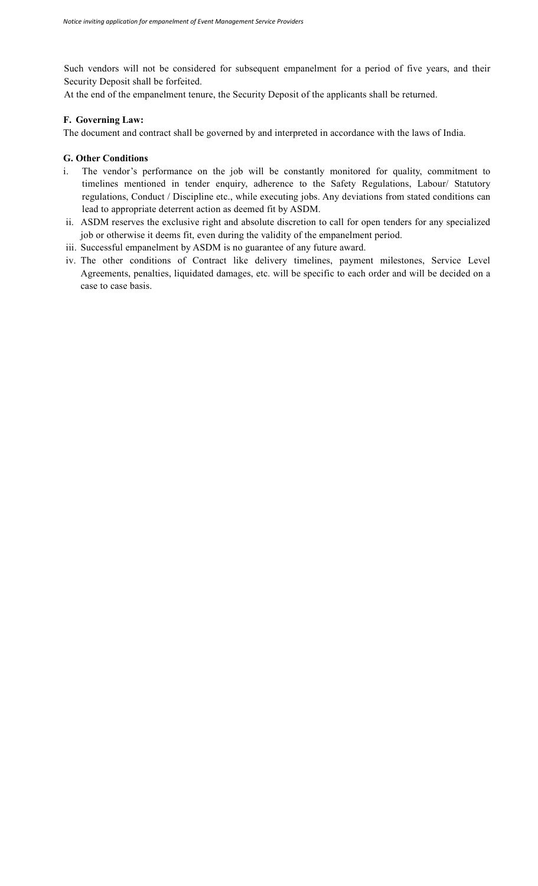Such vendors will not be considered for subsequent empanelment for a period of five years, and their Security Deposit shall be forfeited.

At the end of the empanelment tenure, the Security Deposit of the applicants shall be returned.

## **F. Governing Law:**

The document and contract shall be governed by and interpreted in accordance with the laws of India.

#### **G. Other Conditions**

- i. The vendor's performance on the job will be constantly monitored for quality, commitment to timelines mentioned in tender enquiry, adherence to the Safety Regulations, Labour/ Statutory regulations, Conduct / Discipline etc., while executing jobs. Any deviations from stated conditions can lead to appropriate deterrent action as deemed fit by ASDM.
- ii. ASDM reserves the exclusive right and absolute discretion to call for open tenders for any specialized job or otherwise it deems fit, even during the validity of the empanelment period.
- iii. Successful empanelment by ASDM is no guarantee of any future award.
- iv. The other conditions of Contract like delivery timelines, payment milestones, Service Level Agreements, penalties, liquidated damages, etc. will be specific to each order and will be decided on a case to case basis.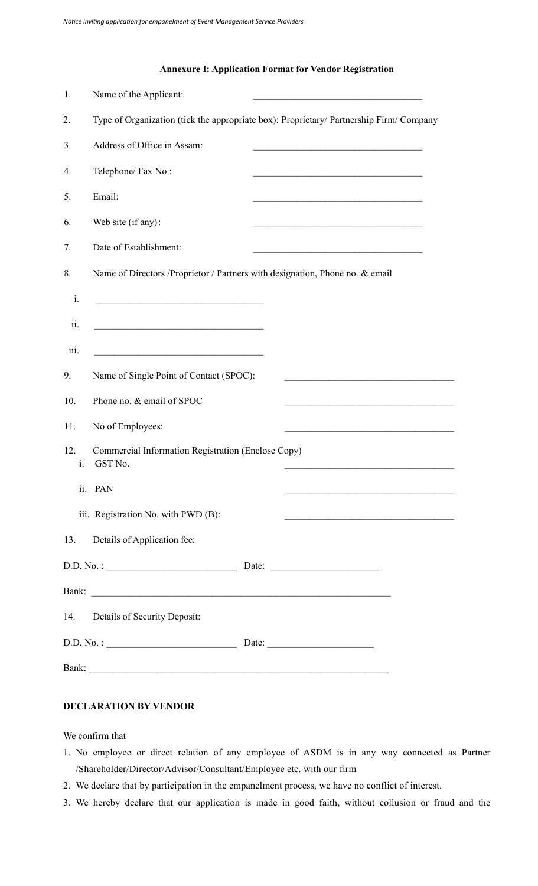# **Annexure I: Application Format for Vendor Registration**

| 1.        | Name of the Applicant:                                                                                                                                           |
|-----------|------------------------------------------------------------------------------------------------------------------------------------------------------------------|
| 2.        | Type of Organization (tick the appropriate box): Proprietary/ Partnership Firm/ Company                                                                          |
| 3.        | Address of Office in Assam:                                                                                                                                      |
| 4.        | Telephone/ Fax No.:                                                                                                                                              |
| 5.        | Email:                                                                                                                                                           |
| 6.        | Web site (if any):<br><u> 1989 - Johann John Stein, mars an deus Amerikaansk ferhand (</u>                                                                       |
| 7.        | Date of Establishment:<br><u> 1989 - Johann Barbara, martxa amerikan bashkar (</u>                                                                               |
| 8.        | Name of Directors /Proprietor / Partners with designation, Phone no. & email                                                                                     |
| i.        | <u> 1989 - Johann Barn, mars ar breithinn ar breithinn ar breithinn ar breithinn ar breithinn ar breithinn ar br</u>                                             |
| ii.       | <u> 1980 - Johann Barn, mars ann an t-Amhain Aonaich an t-Aonaich an t-Aonaich ann an t-Aonaich ann an t-Aonaich</u>                                             |
| iii.      | <u> 1989 - Johann Barbara, martxa alemaniar amerikan a</u>                                                                                                       |
| 9.        | Name of Single Point of Contact (SPOC):<br><u> 1989 - Johann Barn, mars ann an t-Amhain an t-Amhain an t-Amhain an t-Amhain an t-Amhain an t-Amhain an t-Amh</u> |
| 10.       | Phone no. & email of SPOC                                                                                                                                        |
| 11.       | No of Employees:<br><u> 1989 - Johann Barbara, martxa alemaniar arg</u>                                                                                          |
| 12.<br>i. | Commercial Information Registration (Enclose Copy)<br>GST No.                                                                                                    |
|           | ii. PAN                                                                                                                                                          |
|           | iii. Registration No. with PWD (B):                                                                                                                              |
| 13.       | Details of Application fee:                                                                                                                                      |
|           | D.D. No. :                                                                                                                                                       |
|           |                                                                                                                                                                  |
| 14.       | Details of Security Deposit:                                                                                                                                     |
|           | D.D. No. :<br>Date:                                                                                                                                              |
| Bank:     |                                                                                                                                                                  |

# **DECLARATION BY VENDOR**

We confirm that

- 1. No employee or direct relation of any employee of ASDM is in any way connected as Partner /Shareholder/Director/Advisor/Consultant/Employee etc. with our firm
- 2. We declare that by participation in the empanelment process, we have no conflict of interest.
- 3. We hereby declare that our application is made in good faith, without collusion or fraud and the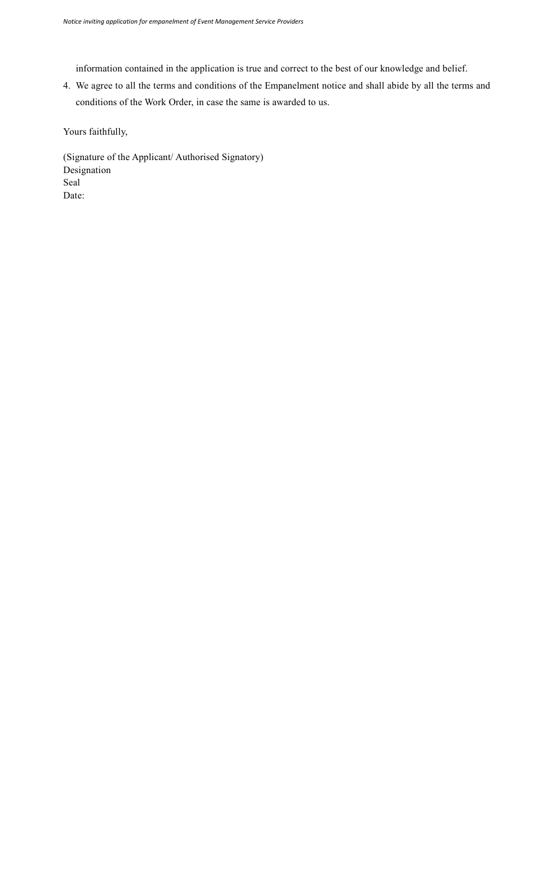information contained in the application is true and correct to the best of our knowledge and belief.

4. We agree to all the terms and conditions of the Empanelment notice and shall abide by all the terms and conditions of the Work Order, in case the same is awarded to us.

Yours faithfully,

(Signature of the Applicant/ Authorised Signatory) Designation Seal Date: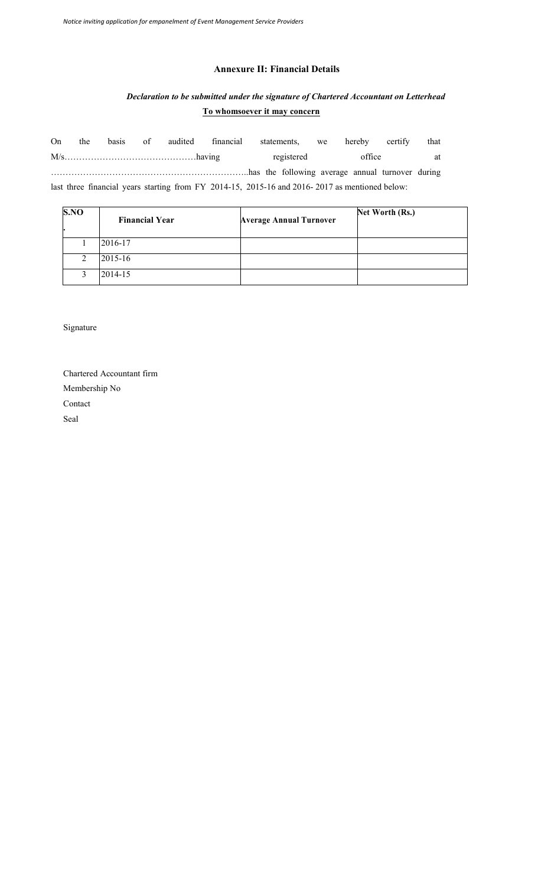# **Annexure II: Financial Details**

# *Declaration to be submitted under the signature of Chartered Accountant on Letterhead* **To whomsoever it may concern**

| <b>On</b> | the | basis | of audited financial                                                                           |  | statements, we hereby |        | certify | that |
|-----------|-----|-------|------------------------------------------------------------------------------------------------|--|-----------------------|--------|---------|------|
|           |     |       |                                                                                                |  | registered            | office |         | at   |
|           |     |       |                                                                                                |  |                       |        |         |      |
|           |     |       | last three financial years starting from FY 2014-15, 2015-16 and 2016-2017 as mentioned below: |  |                       |        |         |      |

| S.NO   | <b>Financial Year</b> | <b>Average Annual Turnover</b> | Net Worth (Rs.) |
|--------|-----------------------|--------------------------------|-----------------|
|        | 2016-17               |                                |                 |
| ↑<br>∠ | $2015 - 16$           |                                |                 |
| ◠      | 2014-15               |                                |                 |

Signature

Chartered Accountant firm Membership No Contact Seal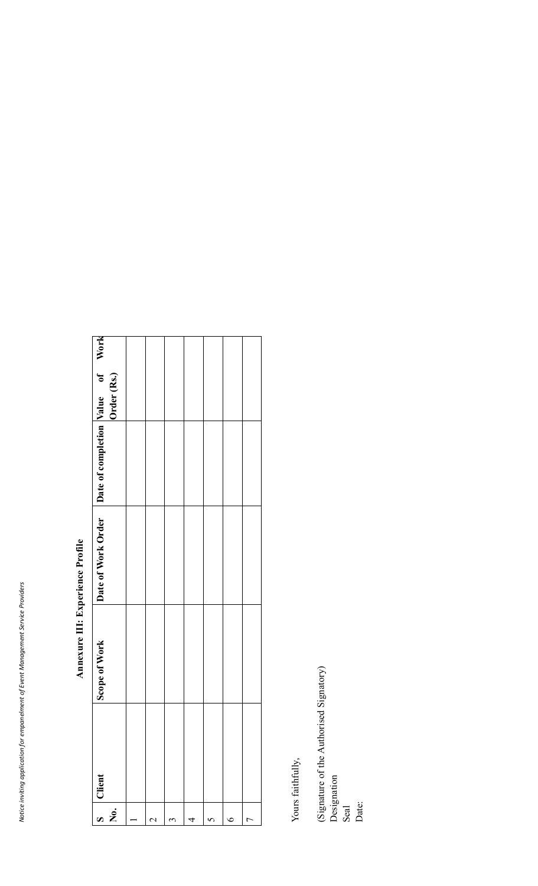| $\dot{\mathbf{z}}$ | Client | Scope of Work | Date of Work Order Date of completion Value of Work |  |  |
|--------------------|--------|---------------|-----------------------------------------------------|--|--|
|                    |        |               |                                                     |  |  |
|                    |        |               |                                                     |  |  |
| ↶                  |        |               |                                                     |  |  |
|                    |        |               |                                                     |  |  |
| $\sigma$           |        |               |                                                     |  |  |
|                    |        |               |                                                     |  |  |
| r                  |        |               |                                                     |  |  |

# Annexure III: Experience Profile **Annexure III: Experience Profile**

Yours faithfully, Yours faithfully,

(Signature of the Authorised Signatory) Designation Seal<br>Date: